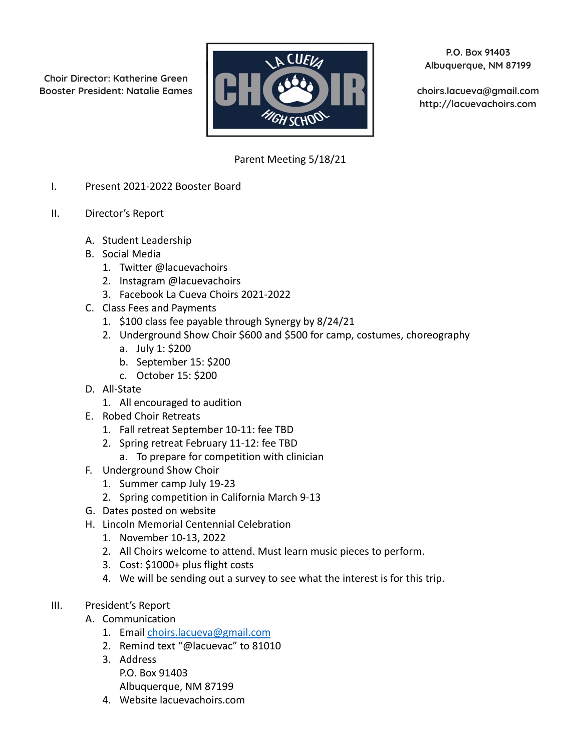**Choir Director: Katherine Green**



**P.O. Box 91403 Albuquerque, NM 87199**

**http://lacuevachoirs.com**

## Parent Meeting 5/18/21

- I. Present 2021-2022 Booster Board
- II. Director's Report
	- A. Student Leadership
	- B. Social Media
		- 1. Twitter @lacuevachoirs
		- 2. Instagram @lacuevachoirs
		- 3. Facebook La Cueva Choirs 2021-2022
	- C. Class Fees and Payments
		- 1. \$100 class fee payable through Synergy by 8/24/21
		- 2. Underground Show Choir \$600 and \$500 for camp, costumes, choreography
			- a. July 1: \$200
			- b. September 15: \$200
			- c. October 15: \$200
	- D. All-State
		- 1. All encouraged to audition
	- E. Robed Choir Retreats
		- 1. Fall retreat September 10-11: fee TBD
		- 2. Spring retreat February 11-12: fee TBD
			- a. To prepare for competition with clinician
	- F. Underground Show Choir
		- 1. Summer camp July 19-23
		- 2. Spring competition in California March 9-13
	- G. Dates posted on website
	- H. Lincoln Memorial Centennial Celebration
		- 1. November 10-13, 2022
		- 2. All Choirs welcome to attend. Must learn music pieces to perform.
		- 3. Cost: \$1000+ plus flight costs
		- 4. We will be sending out a survey to see what the interest is for this trip.
- III. President's Report
	- A. Communication
		- 1. Email [choirs.lacueva@gmail.com](mailto:choirs.lacueva@gmail.com)
		- 2. Remind text "@lacuevac" to 81010
		- 3. Address
			- P.O. Box 91403 Albuquerque, NM 87199
		- 4. Website lacuevachoirs.com